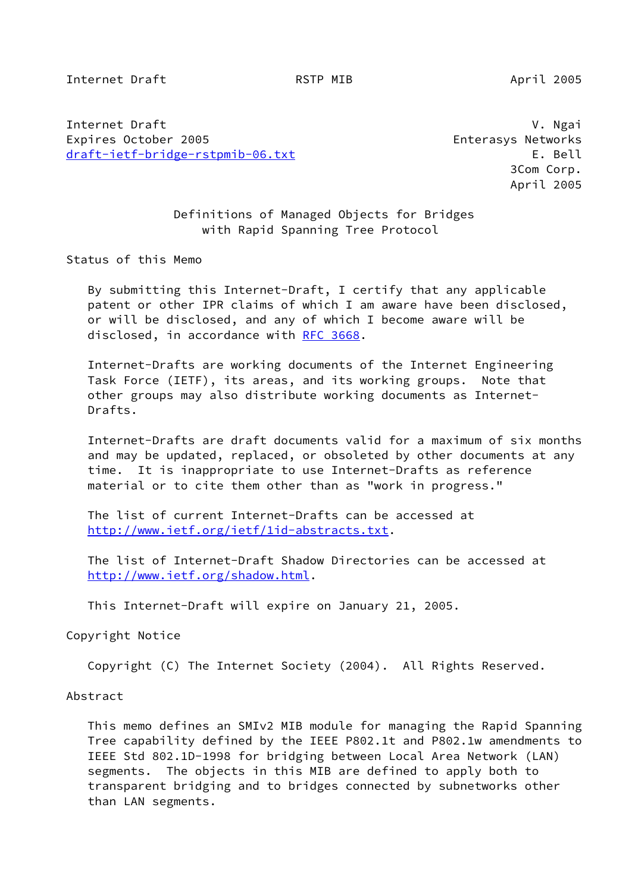Internet Draft **RSTP MIB** April 2005

Internet Draft V. Ngai Expires October 2005 Enterasys Networks [draft-ietf-bridge-rstpmib-06.txt](https://datatracker.ietf.org/doc/pdf/draft-ietf-bridge-rstpmib-06.txt) E. Bell

 3Com Corp. April 2005

 Definitions of Managed Objects for Bridges with Rapid Spanning Tree Protocol

Status of this Memo

 By submitting this Internet-Draft, I certify that any applicable patent or other IPR claims of which I am aware have been disclosed, or will be disclosed, and any of which I become aware will be disclosed, in accordance with [RFC 3668](https://datatracker.ietf.org/doc/pdf/rfc3668).

 Internet-Drafts are working documents of the Internet Engineering Task Force (IETF), its areas, and its working groups. Note that other groups may also distribute working documents as Internet- Drafts.

 Internet-Drafts are draft documents valid for a maximum of six months and may be updated, replaced, or obsoleted by other documents at any time. It is inappropriate to use Internet-Drafts as reference material or to cite them other than as "work in progress."

 The list of current Internet-Drafts can be accessed at <http://www.ietf.org/ietf/1id-abstracts.txt>.

 The list of Internet-Draft Shadow Directories can be accessed at <http://www.ietf.org/shadow.html>.

This Internet-Draft will expire on January 21, 2005.

Copyright Notice

Copyright (C) The Internet Society (2004). All Rights Reserved.

Abstract

 This memo defines an SMIv2 MIB module for managing the Rapid Spanning Tree capability defined by the IEEE P802.1t and P802.1w amendments to IEEE Std 802.1D-1998 for bridging between Local Area Network (LAN) segments. The objects in this MIB are defined to apply both to transparent bridging and to bridges connected by subnetworks other than LAN segments.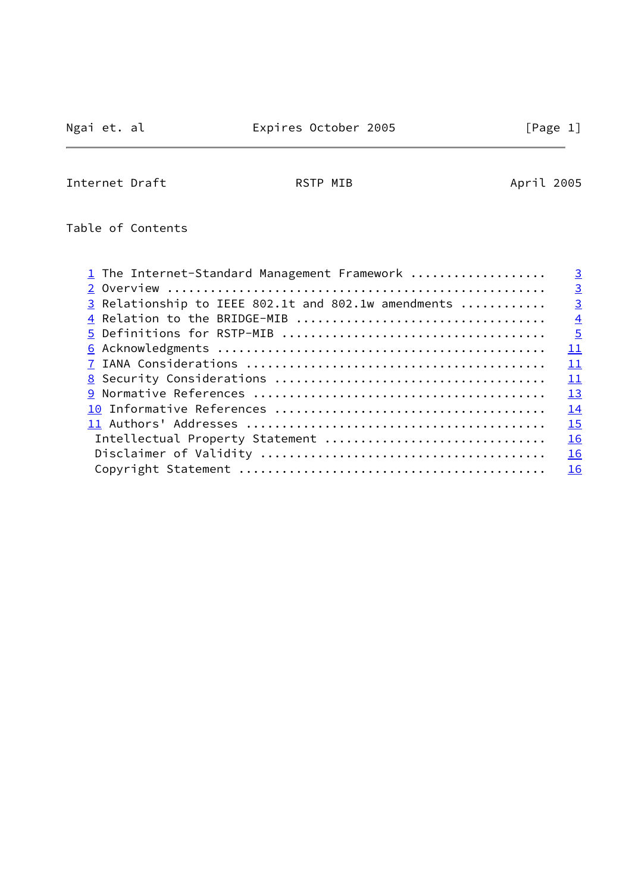$\overline{a}$ 

Internet Draft **April 2005** RSTP MIB April 2005

Table of Contents

| 1 The Internet-Standard Management Framework        | $\overline{3}$ |
|-----------------------------------------------------|----------------|
|                                                     | $\overline{3}$ |
| 3 Relationship to IEEE 802.1t and 802.1w amendments | $\overline{3}$ |
|                                                     | $\overline{4}$ |
|                                                     | $\overline{5}$ |
|                                                     | 11             |
|                                                     | 11             |
|                                                     | 11             |
|                                                     | 13             |
|                                                     | 14             |
|                                                     | 15             |
| Intellectual Property Statement                     | 16             |
|                                                     | 16             |
|                                                     | 16             |
|                                                     |                |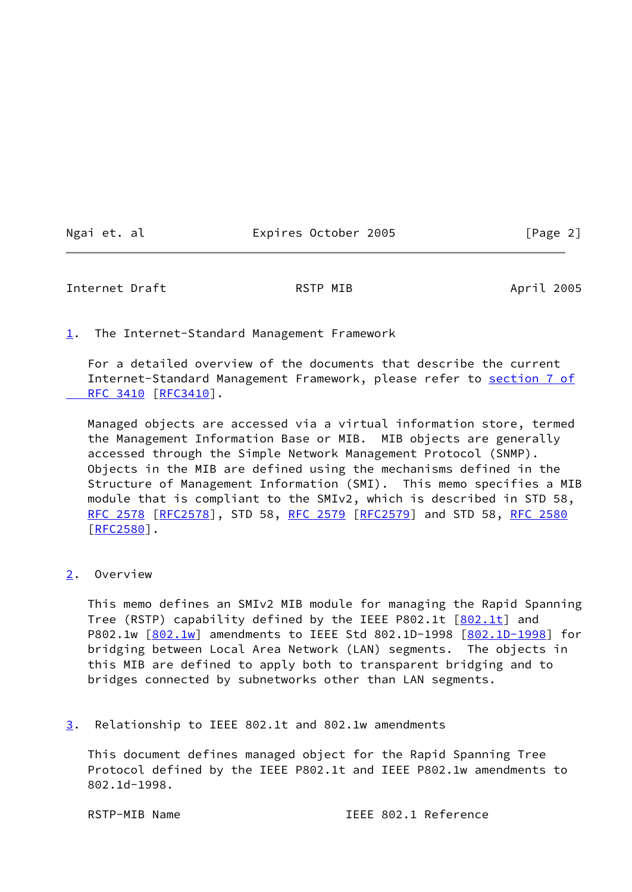Ngai et. al Expires October 2005 [Page 2]

<span id="page-2-1"></span>Internet Draft **RSTP MIB** April 2005

<span id="page-2-0"></span>[1](#page-2-0). The Internet-Standard Management Framework

 For a detailed overview of the documents that describe the current Internet-Standard Management Framework, please refer to [section](https://datatracker.ietf.org/doc/pdf/rfc3410#section-7) 7 of RFC 3410 [\[RFC3410](https://datatracker.ietf.org/doc/pdf/rfc3410)].

 Managed objects are accessed via a virtual information store, termed the Management Information Base or MIB. MIB objects are generally accessed through the Simple Network Management Protocol (SNMP). Objects in the MIB are defined using the mechanisms defined in the Structure of Management Information (SMI). This memo specifies a MIB module that is compliant to the SMIv2, which is described in STD 58, [RFC 2578](https://datatracker.ietf.org/doc/pdf/rfc2578) [\[RFC2578](https://datatracker.ietf.org/doc/pdf/rfc2578)], STD 58, [RFC 2579 \[RFC2579](https://datatracker.ietf.org/doc/pdf/rfc2579)] and STD 58, [RFC 2580](https://datatracker.ietf.org/doc/pdf/rfc2580) [\[RFC2580](https://datatracker.ietf.org/doc/pdf/rfc2580)].

<span id="page-2-2"></span>[2](#page-2-2). Overview

 This memo defines an SMIv2 MIB module for managing the Rapid Spanning Tree (RSTP) capability defined by the IEEE P[802.1t](#page-14-1) [802.1t] and P802.1w  $[802.1w]$  $[802.1w]$  amendments to IEEE Std 802.1D-1998  $[802.1D-1998]$  $[802.1D-1998]$  for bridging between Local Area Network (LAN) segments. The objects in this MIB are defined to apply both to transparent bridging and to bridges connected by subnetworks other than LAN segments.

<span id="page-2-3"></span>[3](#page-2-3). Relationship to IEEE 802.1t and 802.1w amendments

 This document defines managed object for the Rapid Spanning Tree Protocol defined by the IEEE P802.1t and IEEE P802.1w amendments to 802.1d-1998.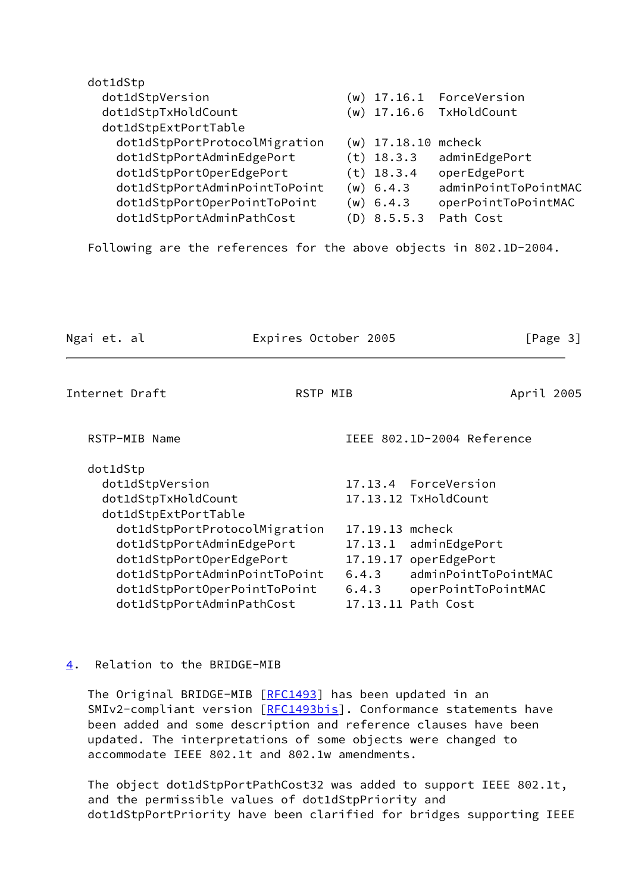| dot1dStp                                                           |       |                       |                            |
|--------------------------------------------------------------------|-------|-----------------------|----------------------------|
| dot1dStpVersion                                                    |       | $(w)$ 17.16.1         | ForceVersion               |
| dot1dStpTxHoldCount                                                |       | $(w)$ 17.16.6         | TxHoldCount                |
| dot1dStpExtPortTable                                               |       |                       |                            |
| dot1dStpPortProtocolMigration                                      |       | $(w)$ 17.18.10 mcheck |                            |
| dot1dStpPortAdminEdgePort                                          |       | $(t)$ 18.3.3          | adminEdgePort              |
| dot1dStpPortOperEdgePort                                           |       | $(t)$ 18.3.4          | operEdgePort               |
| dot1dStpPortAdminPointToPoint                                      |       | $(w)$ 6.4.3           | adminPointToPointMAC       |
| dot1dStpPortOperPointToPoint                                       |       | (w) 6.4.3             | operPointToPointMAC        |
| dot1dStpPortAdminPathCost                                          |       | $(D)$ 8.5.5.3         | Path Cost                  |
| Following are the references for the above objects in 802.1D-2004. |       |                       |                            |
| Ngai et. al<br>Expires October 2005                                |       |                       | [Page 3]                   |
| Internet Draft<br><b>RSTP MIB</b>                                  |       |                       | April 2005                 |
| RSTP-MIB Name                                                      |       |                       | IEEE 802.1D-2004 Reference |
| dot1dStp                                                           |       |                       |                            |
| dot1dStpVersion                                                    |       | 17.13.4 ForceVersion  |                            |
| dot1dStpTxHoldCount                                                |       | 17.13.12 TxHoldCount  |                            |
| dot1dStpExtPortTable                                               |       |                       |                            |
| dot1dStpPortProtocolMigration                                      |       | 17.19.13 mcheck       |                            |
| dot1dStpPortAdminEdgePort                                          |       |                       | 17.13.1 adminEdgePort      |
| dot1dStpPortOperEdgePort                                           |       | 17.19.17 operEdgePort |                            |
| dot1dStpPortAdminPointToPoint                                      |       | 6.4.3                 | adminPointToPointMAC       |
| dot1dStpPortOperPointToPoint<br>dot1dStpPortAdminPathCost          | 6.4.3 | 17.13.11 Path Cost    | operPointToPointMAC        |
|                                                                    |       |                       |                            |

<span id="page-3-1"></span><span id="page-3-0"></span>[4](#page-3-0). Relation to the BRIDGE-MIB

The Original BRIDGE-MIB [\[RFC1493](https://datatracker.ietf.org/doc/pdf/rfc1493)] has been updated in an SMIv2-compliant version [\[RFC1493bis\]](#page-14-4). Conformance statements have been added and some description and reference clauses have been updated. The interpretations of some objects were changed to accommodate IEEE 802.1t and 802.1w amendments.

 The object dot1dStpPortPathCost32 was added to support IEEE 802.1t, and the permissible values of dot1dStpPriority and dot1dStpPortPriority have been clarified for bridges supporting IEEE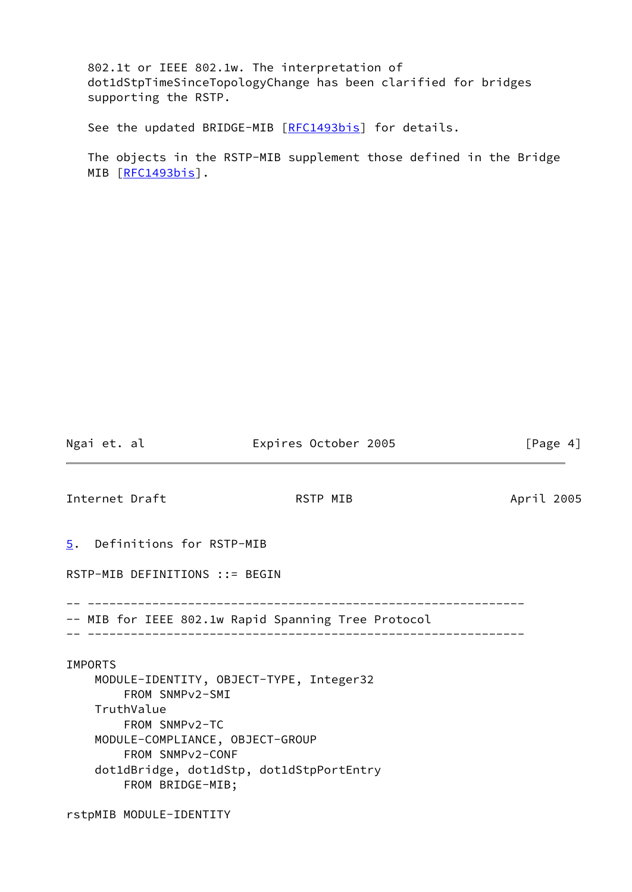802.1t or IEEE 802.1w. The interpretation of dot1dStpTimeSinceTopologyChange has been clarified for bridges supporting the RSTP.

See the updated BRIDGE-MIB [[RFC1493bis\]](#page-14-4) for details.

 The objects in the RSTP-MIB supplement those defined in the Bridge MIB [\[RFC1493bis\]](#page-14-4).

Ngai et. al  $\qquad \qquad$  Expires October 2005 [Page 4]

<span id="page-4-1"></span>Internet Draft **April 2005** RSTP MIB April 2005

<span id="page-4-0"></span>[5](#page-4-0). Definitions for RSTP-MIB

RSTP-MIB DEFINITIONS ::= BEGIN

-- -------------------------------------------------------------

-- MIB for IEEE 802.1w Rapid Spanning Tree Protocol

-- -------------------------------------------------------------

### IMPORTS

 MODULE-IDENTITY, OBJECT-TYPE, Integer32 FROM SNMPv2-SMI TruthValue FROM SNMPv2-TC MODULE-COMPLIANCE, OBJECT-GROUP FROM SNMPv2-CONF dot1dBridge, dot1dStp, dot1dStpPortEntry FROM BRIDGE-MIB;

rstpMIB MODULE-IDENTITY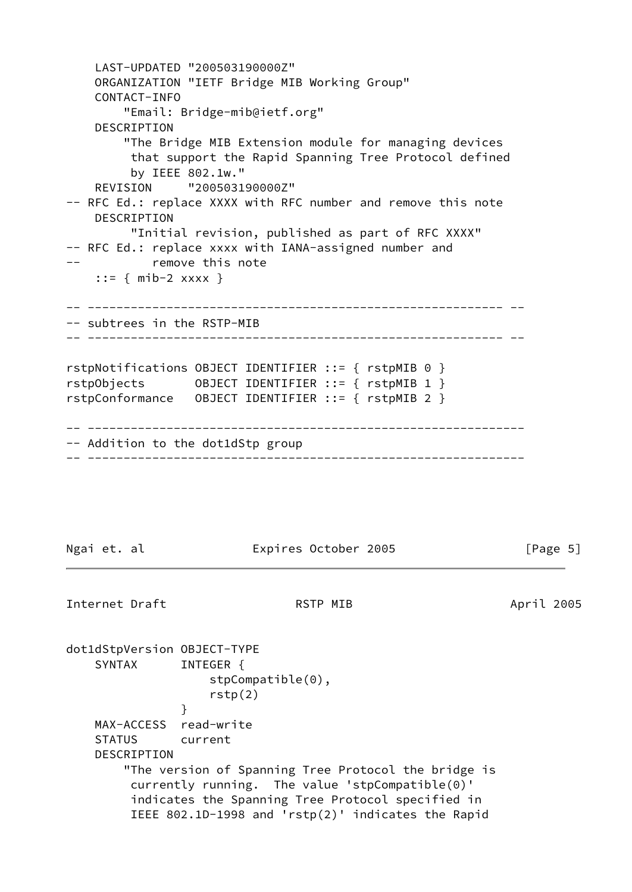LAST-UPDATED "200503190000Z" ORGANIZATION "IETF Bridge MIB Working Group" CONTACT-INFO "Email: Bridge-mib@ietf.org" DESCRIPTION "The Bridge MIB Extension module for managing devices that support the Rapid Spanning Tree Protocol defined by IEEE 802.1w." REVISION "200503190000Z" -- RFC Ed.: replace XXXX with RFC number and remove this note DESCRIPTION "Initial revision, published as part of RFC XXXX" -- RFC Ed.: replace xxxx with IANA-assigned number and -- remove this note ::=  $\{ \text{mib-2} \; x x x x \; \}$ -- ---------------------------------------------------------- -- -- subtrees in the RSTP-MIB -- ---------------------------------------------------------- - rstpNotifications OBJECT IDENTIFIER ::= { rstpMIB 0 } rstpObjects OBJECT IDENTIFIER ::= { rstpMIB 1 } rstpConformance OBJECT IDENTIFIER ::= { rstpMIB 2 } -- ------------------------------------------------------------- -- Addition to the dot1dStp group -- ------------------------------------------------------------- Ngai et. al **Expires October 2005** [Page 5] Internet Draft **RSTP MIB** April 2005 dot1dStpVersion OBJECT-TYPE SYNTAX INTEGER { stpCompatible(0), rstp(2) } MAX-ACCESS read-write STATUS current DESCRIPTION "The version of Spanning Tree Protocol the bridge is currently running. The value 'stpCompatible(0)' indicates the Spanning Tree Protocol specified in IEEE 802.1D-1998 and 'rstp(2)' indicates the Rapid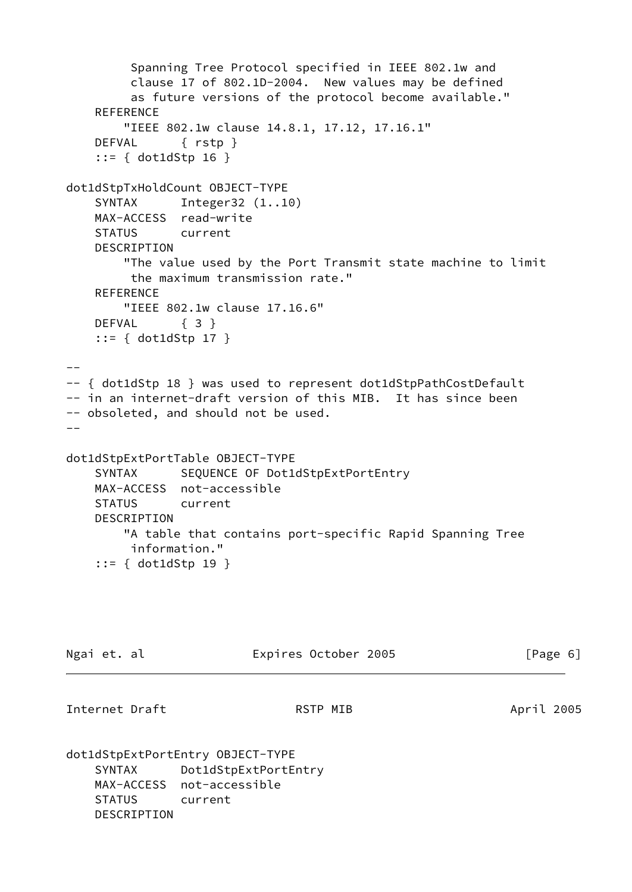```
 Spanning Tree Protocol specified in IEEE 802.1w and
         clause 17 of 802.1D-2004. New values may be defined
         as future versions of the protocol become available."
     REFERENCE
        "IEEE 802.1w clause 14.8.1, 17.12, 17.16.1"
     DEFVAL { rstp }
     ::= { dot1dStp 16 }
dot1dStpTxHoldCount OBJECT-TYPE
    SYNTAX Integer32 (1..10)
    MAX-ACCESS read-write
    STATUS current
    DESCRIPTION
        "The value used by the Port Transmit state machine to limit
         the maximum transmission rate."
   REFERENCE
        "IEEE 802.1w clause 17.16.6"
    DEFVAL { 3 }
     ::= { dot1dStp 17 }
--- { dot1dStp 18 } was used to represent dot1dStpPathCostDefault
-- in an internet-draft version of this MIB. It has since been
-- obsoleted, and should not be used.
-dot1dStpExtPortTable OBJECT-TYPE
    SYNTAX SEQUENCE OF Dot1dStpExtPortEntry
    MAX-ACCESS not-accessible
    STATUS current
    DESCRIPTION
        "A table that contains port-specific Rapid Spanning Tree
         information."
     ::= { dot1dStp 19 }
Ngai et. al                     Expires October 2005                   [Page 6]
Internet Draft April 2005 RSTP MIB April 2005
dot1dStpExtPortEntry OBJECT-TYPE
    SYNTAX Dot1dStpExtPortEntry
    MAX-ACCESS not-accessible
    STATUS current
    DESCRIPTION
```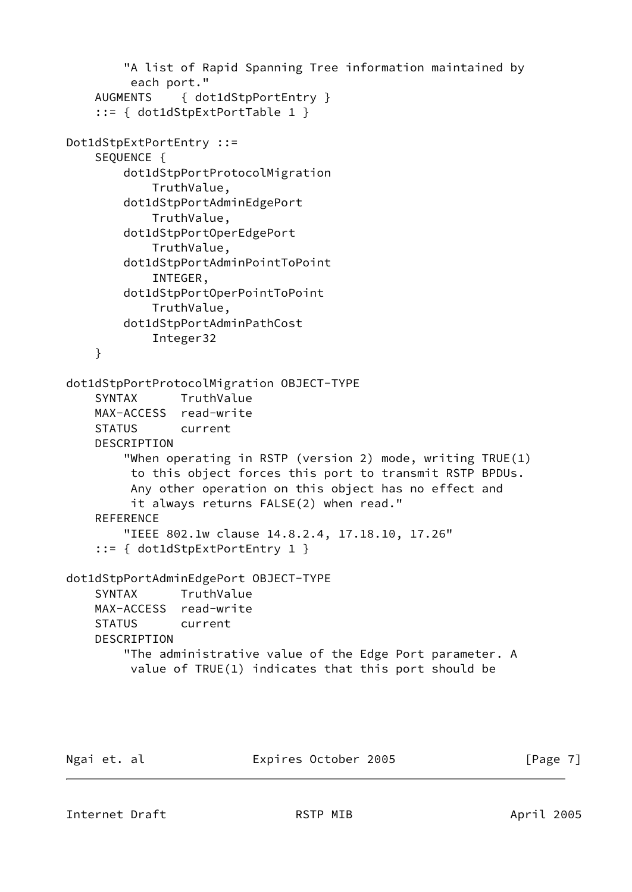```
 "A list of Rapid Spanning Tree information maintained by
          each port."
     AUGMENTS { dot1dStpPortEntry }
     ::= { dot1dStpExtPortTable 1 }
Dot1dStpExtPortEntry ::=
     SEQUENCE {
         dot1dStpPortProtocolMigration
             TruthValue,
         dot1dStpPortAdminEdgePort
             TruthValue,
         dot1dStpPortOperEdgePort
             TruthValue,
         dot1dStpPortAdminPointToPoint
             INTEGER,
         dot1dStpPortOperPointToPoint
             TruthValue,
         dot1dStpPortAdminPathCost
             Integer32
     }
dot1dStpPortProtocolMigration OBJECT-TYPE
     SYNTAX TruthValue
     MAX-ACCESS read-write
     STATUS current
     DESCRIPTION
         "When operating in RSTP (version 2) mode, writing TRUE(1)
          to this object forces this port to transmit RSTP BPDUs.
          Any other operation on this object has no effect and
          it always returns FALSE(2) when read."
     REFERENCE
         "IEEE 802.1w clause 14.8.2.4, 17.18.10, 17.26"
     ::= { dot1dStpExtPortEntry 1 }
dot1dStpPortAdminEdgePort OBJECT-TYPE
     SYNTAX TruthValue
     MAX-ACCESS read-write
     STATUS current
     DESCRIPTION
         "The administrative value of the Edge Port parameter. A
          value of TRUE(1) indicates that this port should be
```
Ngai et. al Expires October 2005 [Page 7]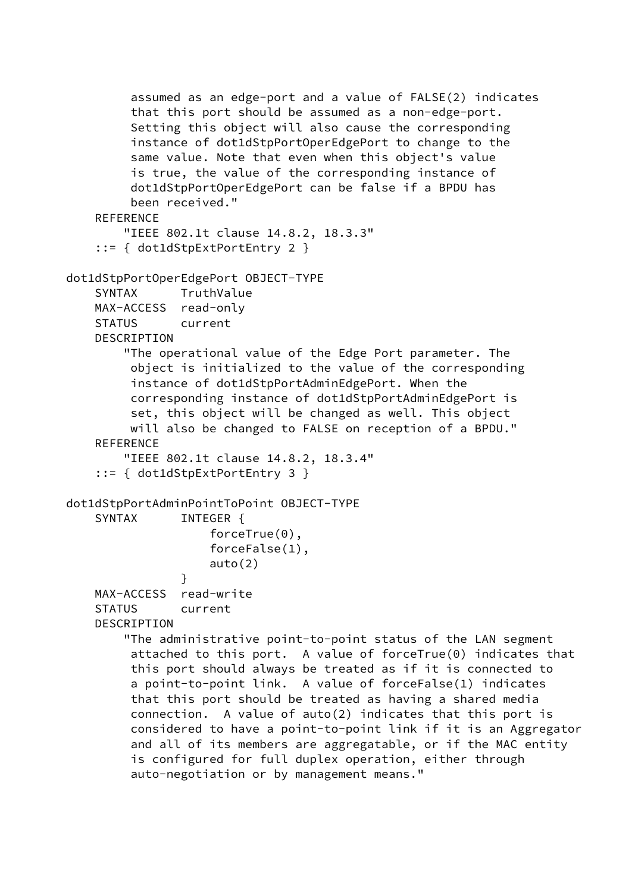```
 assumed as an edge-port and a value of FALSE(2) indicates
          that this port should be assumed as a non-edge-port.
          Setting this object will also cause the corresponding
          instance of dot1dStpPortOperEdgePort to change to the
          same value. Note that even when this object's value
          is true, the value of the corresponding instance of
          dot1dStpPortOperEdgePort can be false if a BPDU has
          been received."
     REFERENCE
         "IEEE 802.1t clause 14.8.2, 18.3.3"
     ::= { dot1dStpExtPortEntry 2 }
dot1dStpPortOperEdgePort OBJECT-TYPE
     SYNTAX TruthValue
     MAX-ACCESS read-only
     STATUS current
     DESCRIPTION
         "The operational value of the Edge Port parameter. The
          object is initialized to the value of the corresponding
          instance of dot1dStpPortAdminEdgePort. When the
          corresponding instance of dot1dStpPortAdminEdgePort is
          set, this object will be changed as well. This object
          will also be changed to FALSE on reception of a BPDU."
     REFERENCE
         "IEEE 802.1t clause 14.8.2, 18.3.4"
     ::= { dot1dStpExtPortEntry 3 }
dot1dStpPortAdminPointToPoint OBJECT-TYPE
    SYNTAX INTEGER {
                     forceTrue(0),
                     forceFalse(1),
                     auto(2)
 }
     MAX-ACCESS read-write
     STATUS current
     DESCRIPTION
         "The administrative point-to-point status of the LAN segment
          attached to this port. A value of forceTrue(0) indicates that
          this port should always be treated as if it is connected to
          a point-to-point link. A value of forceFalse(1) indicates
          that this port should be treated as having a shared media
          connection. A value of auto(2) indicates that this port is
          considered to have a point-to-point link if it is an Aggregator
          and all of its members are aggregatable, or if the MAC entity
          is configured for full duplex operation, either through
          auto-negotiation or by management means."
```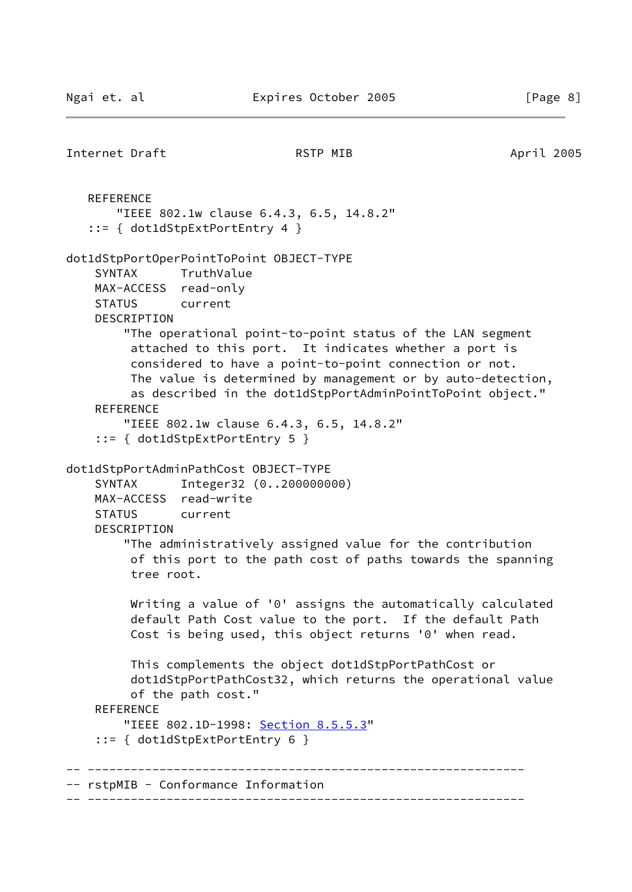```
Internet Draft April 2005 RSTP MIB April 2005
   REFERENCE
        "IEEE 802.1w clause 6.4.3, 6.5, 14.8.2"
    ::= { dot1dStpExtPortEntry 4 }
dot1dStpPortOperPointToPoint OBJECT-TYPE
     SYNTAX TruthValue
     MAX-ACCESS read-only
     STATUS current
     DESCRIPTION
         "The operational point-to-point status of the LAN segment
          attached to this port. It indicates whether a port is
          considered to have a point-to-point connection or not.
          The value is determined by management or by auto-detection,
          as described in the dot1dStpPortAdminPointToPoint object."
     REFERENCE
         "IEEE 802.1w clause 6.4.3, 6.5, 14.8.2"
     ::= { dot1dStpExtPortEntry 5 }
dot1dStpPortAdminPathCost OBJECT-TYPE
     SYNTAX Integer32 (0..200000000)
     MAX-ACCESS read-write
     STATUS current
     DESCRIPTION
         "The administratively assigned value for the contribution
          of this port to the path cost of paths towards the spanning
          tree root.
         Writing a value of '0' assigns the automatically calculated
          default Path Cost value to the port. If the default Path
          Cost is being used, this object returns '0' when read.
          This complements the object dot1dStpPortPathCost or
          dot1dStpPortPathCost32, which returns the operational value
          of the path cost."
     REFERENCE
         "IEEE 802.1D-1998: Section 8.5.5.3"
     ::= { dot1dStpExtPortEntry 6 }
 -- -------------------------------------------------------------
-- rstpMIB - Conformance Information
-- -------------------------------------------------------------
```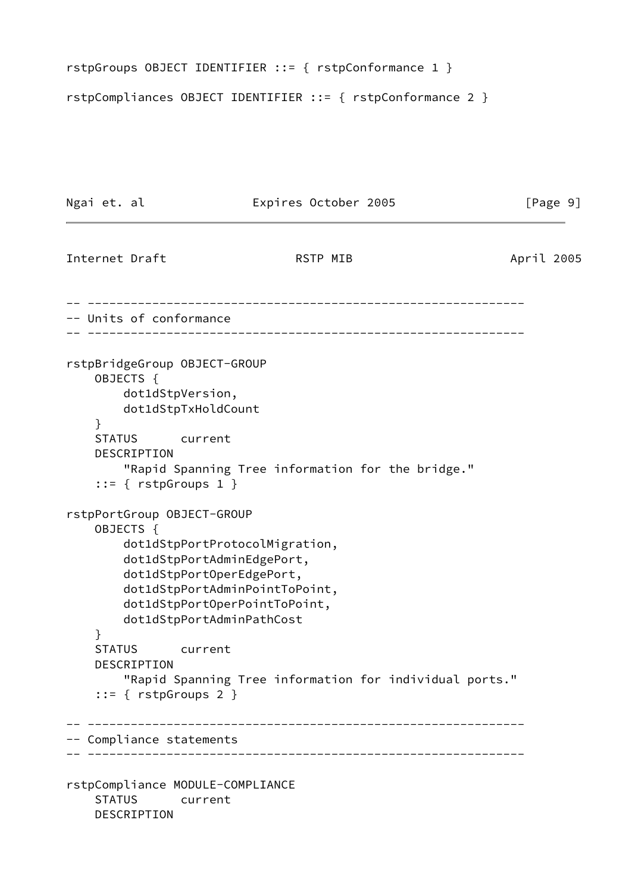```
rstpGroups OBJECT IDENTIFIER ::= { rstpConformance 1 }
```
rstpCompliances OBJECT IDENTIFIER ::= { rstpConformance 2 }

```
Ngai et. al Expires October 2005 [Page 9]
Internet Draft RSTP MIB April 2005
 -- -------------------------------------------------------------
-- Units of conformance
-- -------------------------------------------------------------
rstpBridgeGroup OBJECT-GROUP
    OBJECTS {
        dot1dStpVersion,
        dot1dStpTxHoldCount
    }
    STATUS current
    DESCRIPTION
        "Rapid Spanning Tree information for the bridge."
     ::= { rstpGroups 1 }
rstpPortGroup OBJECT-GROUP
    OBJECTS {
        dot1dStpPortProtocolMigration,
        dot1dStpPortAdminEdgePort,
        dot1dStpPortOperEdgePort,
        dot1dStpPortAdminPointToPoint,
        dot1dStpPortOperPointToPoint,
        dot1dStpPortAdminPathCost
    }
    STATUS current
    DESCRIPTION
        "Rapid Spanning Tree information for individual ports."
    ::= { rstpGroups 2 }
-- -------------------------------------------------------------
-- Compliance statements
-- -------------------------------------------------------------
rstpCompliance MODULE-COMPLIANCE
    STATUS current
    DESCRIPTION
```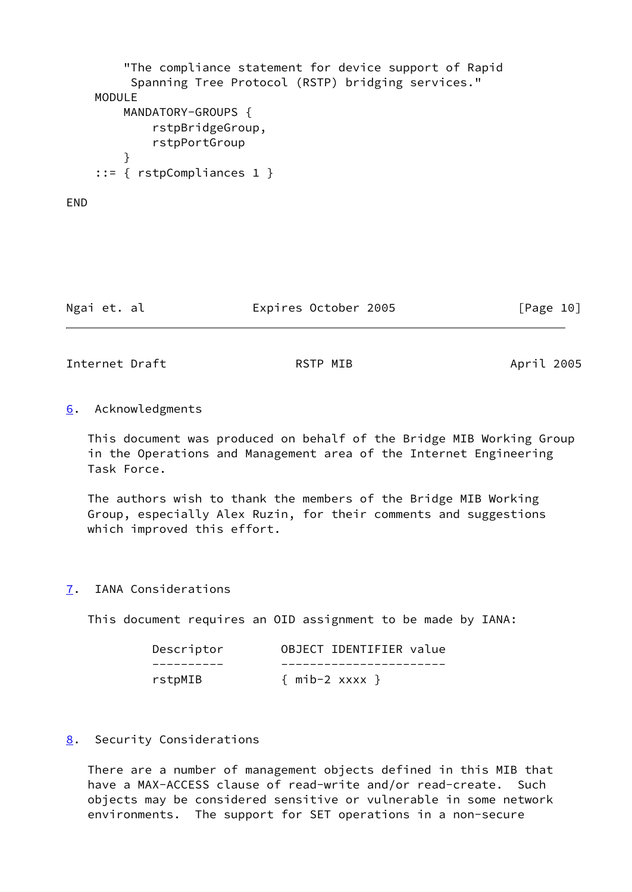```
 "The compliance statement for device support of Rapid
         Spanning Tree Protocol (RSTP) bridging services."
    MODULE
        MANDATORY-GROUPS {
             rstpBridgeGroup,
             rstpPortGroup
 }
     ::= { rstpCompliances 1 }
```
### **FND**

| Ngai et. al |  | Expires October 2005 | [Page 10] |  |
|-------------|--|----------------------|-----------|--|
|             |  |                      |           |  |

<span id="page-11-1"></span>Internet Draft **April 2005** RSTP MIB April 2005

<span id="page-11-0"></span>[6](#page-11-0). Acknowledgments

 This document was produced on behalf of the Bridge MIB Working Group in the Operations and Management area of the Internet Engineering Task Force.

 The authors wish to thank the members of the Bridge MIB Working Group, especially Alex Ruzin, for their comments and suggestions which improved this effort.

<span id="page-11-2"></span>[7](#page-11-2). IANA Considerations

This document requires an OID assignment to be made by IANA:

| Descriptor | OBJECT IDENTIFIER value |
|------------|-------------------------|
|            |                         |
| rstpMIB    | $\{$ mib-2 xxxx $\}$    |

### <span id="page-11-3"></span>[8](#page-11-3). Security Considerations

 There are a number of management objects defined in this MIB that have a MAX-ACCESS clause of read-write and/or read-create. Such objects may be considered sensitive or vulnerable in some network environments. The support for SET operations in a non-secure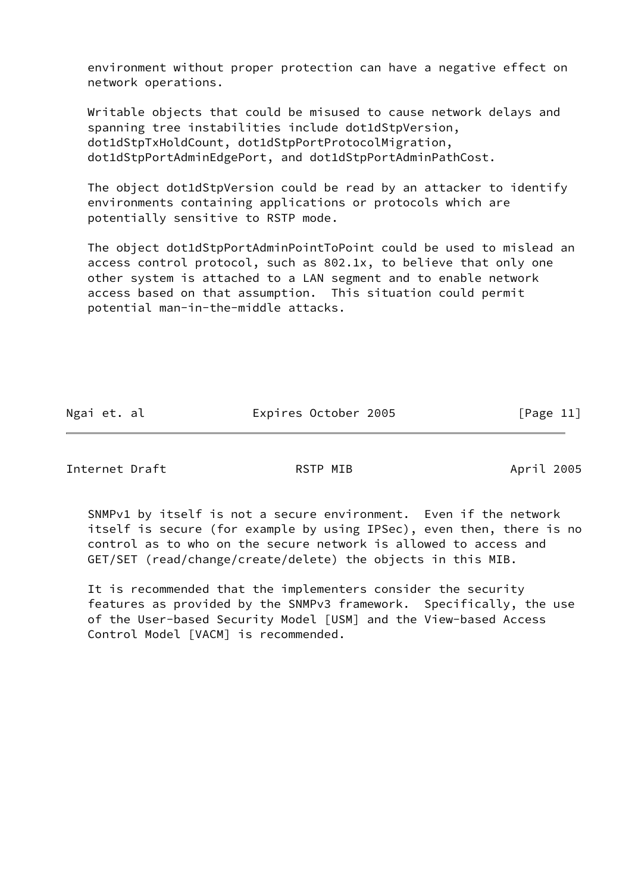environment without proper protection can have a negative effect on network operations.

 Writable objects that could be misused to cause network delays and spanning tree instabilities include dot1dStpVersion, dot1dStpTxHoldCount, dot1dStpPortProtocolMigration, dot1dStpPortAdminEdgePort, and dot1dStpPortAdminPathCost.

 The object dot1dStpVersion could be read by an attacker to identify environments containing applications or protocols which are potentially sensitive to RSTP mode.

 The object dot1dStpPortAdminPointToPoint could be used to mislead an access control protocol, such as 802.1x, to believe that only one other system is attached to a LAN segment and to enable network access based on that assumption. This situation could permit potential man-in-the-middle attacks.

Ngai et. al Expires October 2005 [Page 11]

Internet Draft **RSTP MIB** April 2005

 SNMPv1 by itself is not a secure environment. Even if the network itself is secure (for example by using IPSec), even then, there is no control as to who on the secure network is allowed to access and GET/SET (read/change/create/delete) the objects in this MIB.

 It is recommended that the implementers consider the security features as provided by the SNMPv3 framework. Specifically, the use of the User-based Security Model [USM] and the View-based Access Control Model [VACM] is recommended.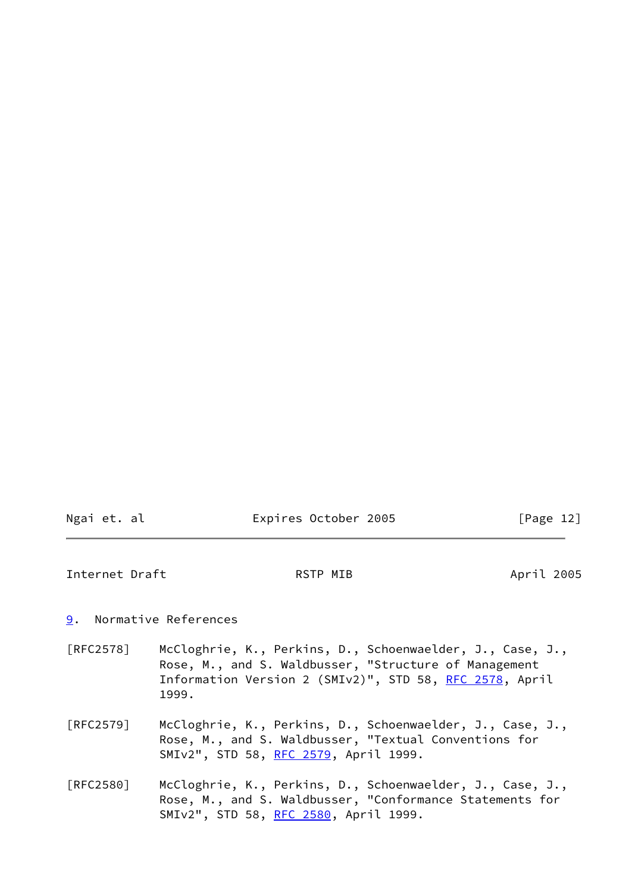| Ngai et. al | Expires October 2005 | [Page 12] |
|-------------|----------------------|-----------|
|             |                      |           |

<span id="page-13-1"></span>Internet Draft **April 2005** RSTP MIB April 2005

<span id="page-13-0"></span>[9](#page-13-0). Normative References

- [RFC2578] McCloghrie, K., Perkins, D., Schoenwaelder, J., Case, J., Rose, M., and S. Waldbusser, "Structure of Management Information Version 2 (SMIv2)", STD 58, [RFC 2578](https://datatracker.ietf.org/doc/pdf/rfc2578), April 1999.
- [RFC2579] McCloghrie, K., Perkins, D., Schoenwaelder, J., Case, J., Rose, M., and S. Waldbusser, "Textual Conventions for SMIv2", STD 58, [RFC 2579](https://datatracker.ietf.org/doc/pdf/rfc2579), April 1999.
- [RFC2580] McCloghrie, K., Perkins, D., Schoenwaelder, J., Case, J., Rose, M., and S. Waldbusser, "Conformance Statements for SMIv2", STD 58, [RFC 2580](https://datatracker.ietf.org/doc/pdf/rfc2580), April 1999.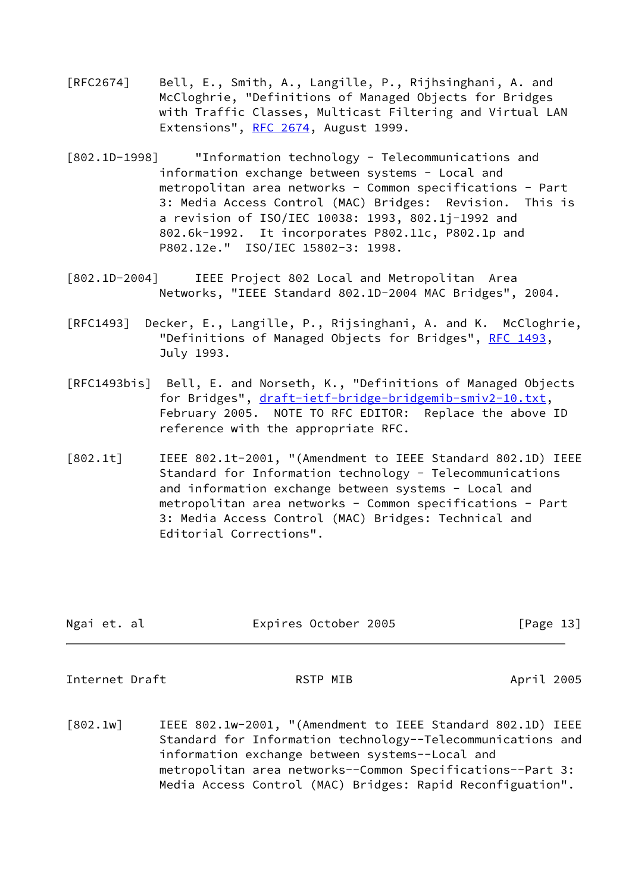- [RFC2674] Bell, E., Smith, A., Langille, P., Rijhsinghani, A. and McCloghrie, "Definitions of Managed Objects for Bridges with Traffic Classes, Multicast Filtering and Virtual LAN Extensions", [RFC 2674,](https://datatracker.ietf.org/doc/pdf/rfc2674) August 1999.
- <span id="page-14-3"></span>[802.1D-1998] "Information technology - Telecommunications and information exchange between systems - Local and metropolitan area networks - Common specifications - Part 3: Media Access Control (MAC) Bridges: Revision. This is a revision of ISO/IEC 10038: 1993, 802.1j-1992 and 802.6k-1992. It incorporates P802.11c, P802.1p and P802.12e." ISO/IEC 15802-3: 1998.
- [802.1D-2004] IEEE Project 802 Local and Metropolitan Area Networks, "IEEE Standard 802.1D-2004 MAC Bridges", 2004.
- [RFC1493] Decker, E., Langille, P., Rijsinghani, A. and K. McCloghrie, "Definitions of Managed Objects for Bridges", [RFC 1493](https://datatracker.ietf.org/doc/pdf/rfc1493), July 1993.
- <span id="page-14-4"></span>[RFC1493bis] Bell, E. and Norseth, K., "Definitions of Managed Objects for Bridges", [draft-ietf-bridge-bridgemib-smiv2-10.txt](https://datatracker.ietf.org/doc/pdf/draft-ietf-bridge-bridgemib-smiv2-10.txt), February 2005. NOTE TO RFC EDITOR: Replace the above ID reference with the appropriate RFC.
- <span id="page-14-1"></span>[802.1t] IEEE 802.1t-2001, "(Amendment to IEEE Standard 802.1D) IEEE Standard for Information technology - Telecommunications and information exchange between systems - Local and metropolitan area networks - Common specifications - Part 3: Media Access Control (MAC) Bridges: Technical and Editorial Corrections".

| Ngai et. al | Expires October 2005 | [Page 13] |
|-------------|----------------------|-----------|
|             |                      |           |

<span id="page-14-0"></span>Internet Draft **April 2005** RSTP MIB April 2005

<span id="page-14-2"></span>[802.1w] IEEE 802.1w-2001, "(Amendment to IEEE Standard 802.1D) IEEE Standard for Information technology--Telecommunications and information exchange between systems--Local and metropolitan area networks--Common Specifications--Part 3: Media Access Control (MAC) Bridges: Rapid Reconfiguation".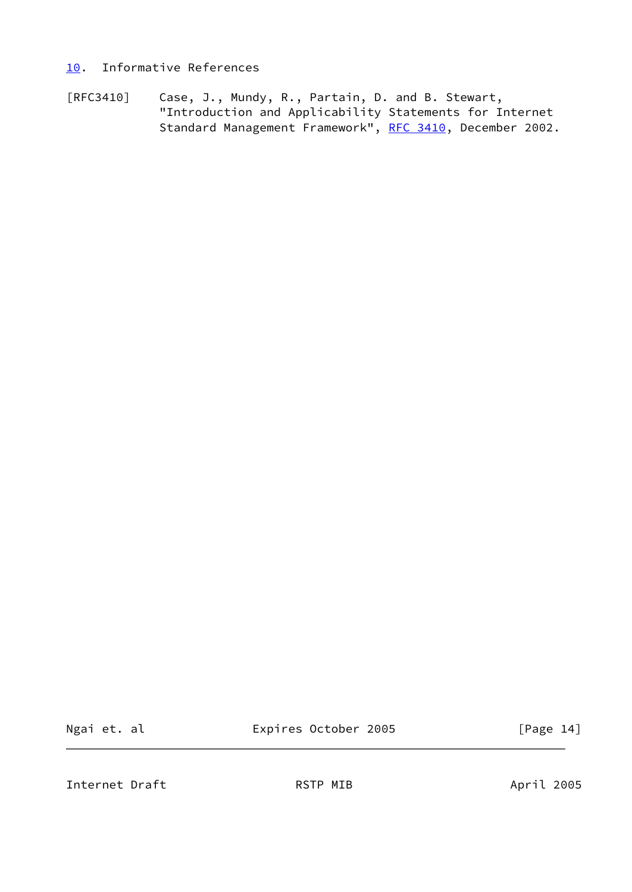## <span id="page-15-0"></span>[10.](#page-15-0) Informative References

[RFC3410] Case, J., Mundy, R., Partain, D. and B. Stewart, "Introduction and Applicability Statements for Internet Standard Management Framework", [RFC 3410](https://datatracker.ietf.org/doc/pdf/rfc3410), December 2002.

Ngai et. al **Expires October 2005** [Page 14]

<span id="page-15-1"></span>Internet Draft **April 2005** RSTP MIB April 2005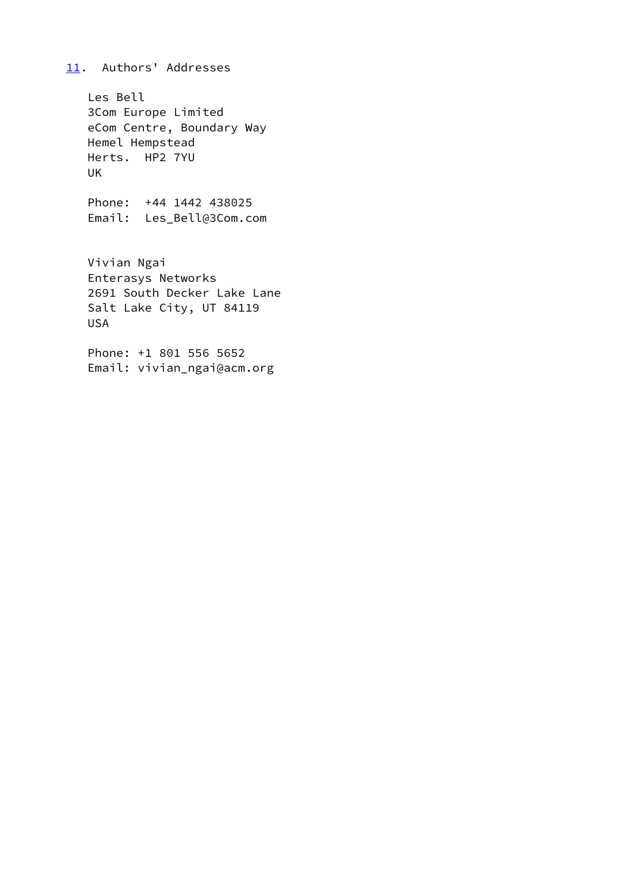# <span id="page-16-0"></span>[11.](#page-16-0) Authors' Addresses

 Les Bell 3Com Europe Limited eCom Centre, Boundary Way Hemel Hempstead Herts. HP2 7YU UK

 Phone: +44 1442 438025 Email: Les\_Bell@3Com.com

 Vivian Ngai Enterasys Networks 2691 South Decker Lake Lane Salt Lake City, UT 84119 USA

 Phone: +1 801 556 5652 Email: vivian\_ngai@acm.org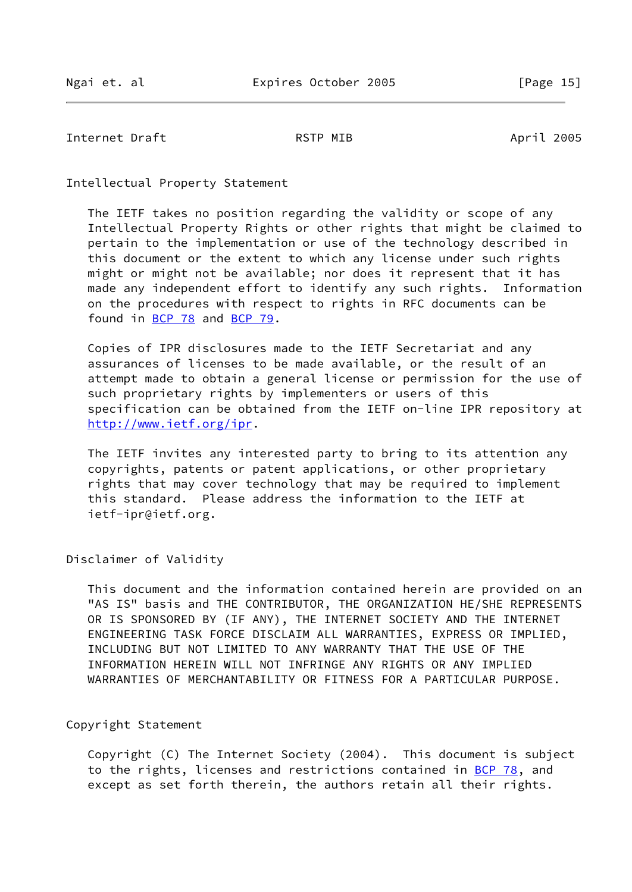<span id="page-17-0"></span>Internet Draft **April 2005** RSTP MIB April 2005

Intellectual Property Statement

 The IETF takes no position regarding the validity or scope of any Intellectual Property Rights or other rights that might be claimed to pertain to the implementation or use of the technology described in this document or the extent to which any license under such rights might or might not be available; nor does it represent that it has made any independent effort to identify any such rights. Information on the procedures with respect to rights in RFC documents can be found in [BCP 78](https://datatracker.ietf.org/doc/pdf/bcp78) and [BCP 79](https://datatracker.ietf.org/doc/pdf/bcp79).

 Copies of IPR disclosures made to the IETF Secretariat and any assurances of licenses to be made available, or the result of an attempt made to obtain a general license or permission for the use of such proprietary rights by implementers or users of this specification can be obtained from the IETF on-line IPR repository at <http://www.ietf.org/ipr>.

 The IETF invites any interested party to bring to its attention any copyrights, patents or patent applications, or other proprietary rights that may cover technology that may be required to implement this standard. Please address the information to the IETF at ietf-ipr@ietf.org.

Disclaimer of Validity

 This document and the information contained herein are provided on an "AS IS" basis and THE CONTRIBUTOR, THE ORGANIZATION HE/SHE REPRESENTS OR IS SPONSORED BY (IF ANY), THE INTERNET SOCIETY AND THE INTERNET ENGINEERING TASK FORCE DISCLAIM ALL WARRANTIES, EXPRESS OR IMPLIED, INCLUDING BUT NOT LIMITED TO ANY WARRANTY THAT THE USE OF THE INFORMATION HEREIN WILL NOT INFRINGE ANY RIGHTS OR ANY IMPLIED WARRANTIES OF MERCHANTABILITY OR FITNESS FOR A PARTICULAR PURPOSE.

Copyright Statement

 Copyright (C) The Internet Society (2004). This document is subject to the rights, licenses and restrictions contained in [BCP 78](https://datatracker.ietf.org/doc/pdf/bcp78), and except as set forth therein, the authors retain all their rights.